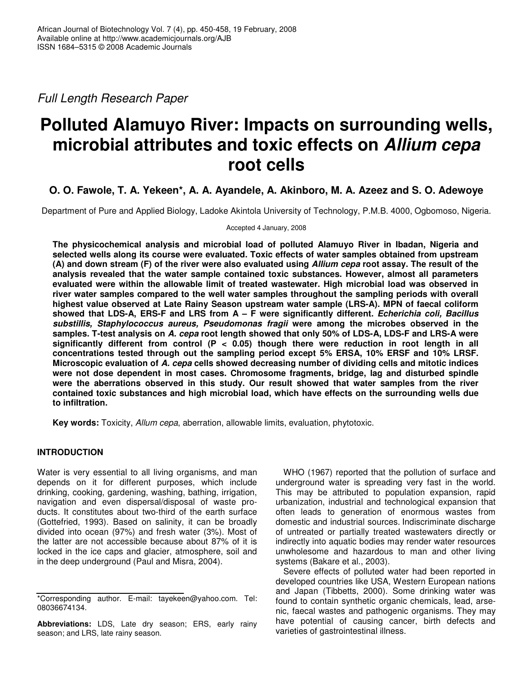*Full Length Research Paper*

# **Polluted Alamuyo River: Impacts on surrounding wells, microbial attributes and toxic effects on** *Allium cepa* **root cells**

# **O. O. Fawole, T. A. Yekeen\*, A. A. Ayandele, A. Akinboro, M. A. Azeez and S. O. Adewoye**

Department of Pure and Applied Biology, Ladoke Akintola University of Technology, P.M.B. 4000, Ogbomoso, Nigeria.

Accepted 4 January, 2008

**The physicochemical analysis and microbial load of polluted Alamuyo River in Ibadan, Nigeria and selected wells along its course were evaluated. Toxic effects of water samples obtained from upstream** (A) and down stream (F) of the river were also evaluated using Allium cepa root assay. The result of the **analysis revealed that the water sample contained toxic substances. However, almost all parameters evaluated were within the allowable limit of treated wastewater. High microbial load was observed in river water samples compared to the well water samples throughout the sampling periods with overall highest value observed at Late Rainy Season upstream water sample (LRS-A). MPN of faecal coliform showed that LDS-A, ERS-F and LRS from A – F were significantly different.** *Echerichia coli, Bacillus substillis, Staphylococcus aureus, Pseudomonas fragii* **were among the microbes observed in the** samples. T-test analysis on A. cepa root length showed that only 50% of LDS-A, LDS-F and LRS-A were **significantly different from control (P < 0.05) though there were reduction in root length in all concentrations tested through out the sampling period except 5% ERSA, 10% ERSF and 10% LRSF. Microscopic evaluation of** *A. cepa* **cells showed decreasing number of dividing cells and mitotic indices were not dose dependent in most cases. Chromosome fragments, bridge, lag and disturbed spindle were the aberrations observed in this study. Our result showed that water samples from the river contained toxic substances and high microbial load, which have effects on the surrounding wells due to infiltration.**

**Key words:** Toxicity, *Allum cepa*, aberration, allowable limits, evaluation, phytotoxic.

# **INTRODUCTION**

Water is very essential to all living organisms, and man depends on it for different purposes, which include drinking, cooking, gardening, washing, bathing, irrigation, navigation and even dispersal/disposal of waste products. It constitutes about two-third of the earth surface (Gottefried, 1993). Based on salinity, it can be broadly divided into ocean (97%) and fresh water (3%). Most of the latter are not accessible because about 87% of it is locked in the ice caps and glacier, atmosphere, soil and in the deep underground (Paul and Misra, 2004).

WHO (1967) reported that the pollution of surface and underground water is spreading very fast in the world. This may be attributed to population expansion, rapid urbanization, industrial and technological expansion that often leads to generation of enormous wastes from domestic and industrial sources. Indiscriminate discharge of untreated or partially treated wastewaters directly or indirectly into aquatic bodies may render water resources unwholesome and hazardous to man and other living systems (Bakare et al., 2003).

Severe effects of polluted water had been reported in developed countries like USA, Western European nations and Japan (Tibbetts, 2000). Some drinking water was found to contain synthetic organic chemicals, lead, arsenic, faecal wastes and pathogenic organisms. They may have potential of causing cancer, birth defects and varieties of gastrointestinal illness.

<sup>\*</sup>Corresponding author. E-mail: tayekeen@yahoo.com. Tel: 08036674134.

**Abbreviations:** LDS, Late dry season; ERS, early rainy season; and LRS, late rainy season.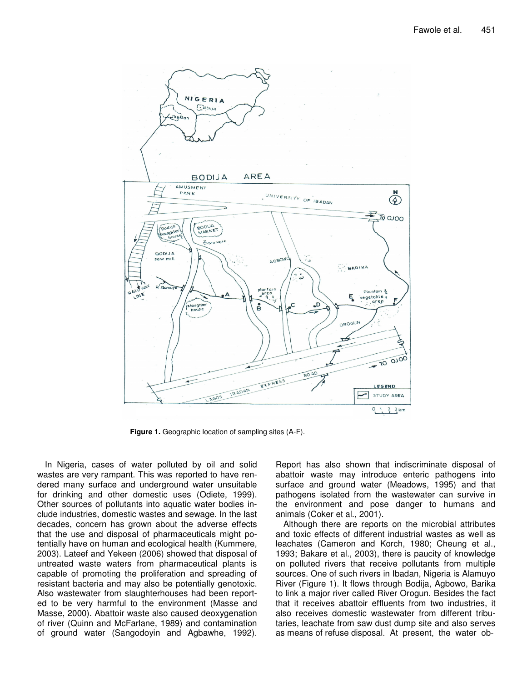

**Figure 1.** Geographic location of sampling sites (A-F).

In Nigeria, cases of water polluted by oil and solid wastes are very rampant. This was reported to have rendered many surface and underground water unsuitable for drinking and other domestic uses (Odiete, 1999). Other sources of pollutants into aquatic water bodies include industries, domestic wastes and sewage. In the last decades, concern has grown about the adverse effects that the use and disposal of pharmaceuticals might potentially have on human and ecological health (Kummere, 2003). Lateef and Yekeen (2006) showed that disposal of untreated waste waters from pharmaceutical plants is capable of promoting the proliferation and spreading of resistant bacteria and may also be potentially genotoxic. Also wastewater from slaughterhouses had been reported to be very harmful to the environment (Masse and Masse, 2000). Abattoir waste also caused deoxygenation of river (Quinn and McFarlane, 1989) and contamination of ground water (Sangodoyin and Agbawhe, 1992). Report has also shown that indiscriminate disposal of abattoir waste may introduce enteric pathogens into surface and ground water (Meadows, 1995) and that pathogens isolated from the wastewater can survive in the environment and pose danger to humans and animals (Coker et al., 2001).

Although there are reports on the microbial attributes and toxic effects of different industrial wastes as well as leachates (Cameron and Korch, 1980; Cheung et al., 1993; Bakare et al., 2003), there is paucity of knowledge on polluted rivers that receive pollutants from multiple sources. One of such rivers in Ibadan, Nigeria is Alamuyo River (Figure 1). It flows through Bodija, Agbowo, Barika to link a major river called River Orogun. Besides the fact that it receives abattoir effluents from two industries, it also receives domestic wastewater from different tributaries, leachate from saw dust dump site and also serves as means of refuse disposal. At present, the water ob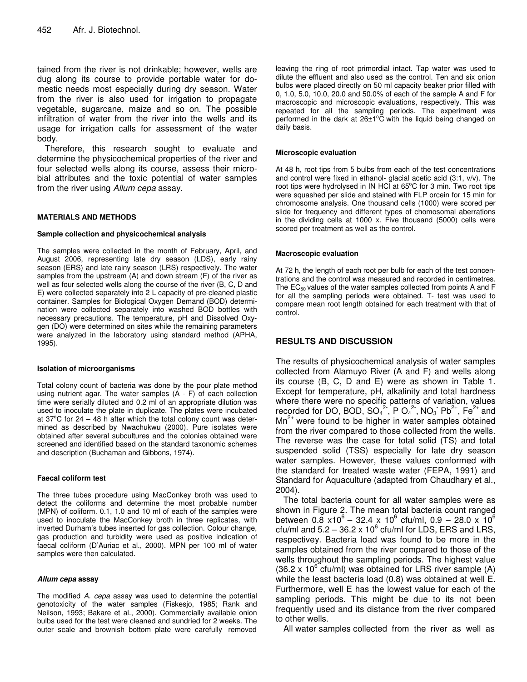tained from the river is not drinkable; however, wells are dug along its course to provide portable water for domestic needs most especially during dry season. Water from the river is also used for irrigation to propagate vegetable, sugarcane, maize and so on. The possible infiltration of water from the river into the wells and its usage for irrigation calls for assessment of the water body.

Therefore, this research sought to evaluate and determine the physicochemical properties of the river and four selected wells along its course, assess their microbial attributes and the toxic potential of water samples from the river using *Allum cepa* assay.

# **MATERIALS AND METHODS**

#### **Sample collection and physicochemical analysis**

The samples were collected in the month of February, April, and August 2006, representing late dry season (LDS), early rainy season (ERS) and late rainy season (LRS) respectively. The water samples from the upstream (A) and down stream (F) of the river as well as four selected wells along the course of the river (B, C, D and E) were collected separately into 2 L capacity of pre-cleaned plastic container. Samples for Biological Oxygen Demand (BOD) determination were collected separately into washed BOD bottles with necessary precautions. The temperature, pH and Dissolved Oxygen (DO) were determined on sites while the remaining parameters were analyzed in the laboratory using standard method (APHA, 1995).

## **Isolation of microorganisms**

Total colony count of bacteria was done by the pour plate method using nutrient agar. The water samples (A - F) of each collection time were serially diluted and 0.2 ml of an appropriate dilution was used to inoculate the plate in duplicate. The plates were incubated at  $37^{\circ}$ C for 24 - 48 h after which the total colony count was determined as described by Nwachukwu (2000). Pure isolates were obtained after several subcultures and the colonies obtained were screened and identified based on the standard taxonomic schemes and description (Buchaman and Gibbons, 1974).

## **Faecal coliform test**

The three tubes procedure using MacConkey broth was used to detect the coliforms and determine the most probable number (MPN) of coliform. 0.1, 1.0 and 10 ml of each of the samples were used to inoculate the MacConkey broth in three replicates, with inverted Durham's tubes inserted for gas collection. Colour change, gas production and turbidity were used as positive indication of faecal coliform (D'Auriac et al., 2000). MPN per 100 ml of water samples were then calculated.

#### *Allum cepa* **assay**

The modified *A. cepa* assay was used to determine the potential genotoxicity of the water samples (Fiskesjo, 1985; Rank and Neilson, 1993; Bakare et al., 2000). Commercially available onion bulbs used for the test were cleaned and sundried for 2 weeks. The outer scale and brownish bottom plate were carefully removed

leaving the ring of root primordial intact. Tap water was used to dilute the effluent and also used as the control. Ten and six onion bulbs were placed directly on 50 ml capacity beaker prior filled with 0, 1.0, 5.0, 10.0, 20.0 and 50.0% of each of the sample A and F for macroscopic and microscopic evaluations, respectively. This was repeated for all the sampling periods. The experiment was performed in the dark at  $26\pm1^{\circ}$ C with the liquid being changed on daily basis.

# **Microscopic evaluation**

At 48 h, root tips from 5 bulbs from each of the test concentrations and control were fixed in ethanol- glacial acetic acid (3:1, v/v). The root tips were hydrolysed in IN HCI at 65°C for 3 min. Two root tips were squashed per slide and stained with FLP orcein for 15 min for chromosome analysis. One thousand cells (1000) were scored per slide for frequency and different types of chomosomal aberrations in the dividing cells at 1000 x. Five thousand (5000) cells were scored per treatment as well as the control.

## **Macroscopic evaluation**

At 72 h, the length of each root per bulb for each of the test concentrations and the control was measured and recorded in centimetres. The  $EC_{50}$  values of the water samples collected from points A and F for all the sampling periods were obtained. T- test was used to compare mean root length obtained for each treatment with that of control.

# **RESULTS AND DISCUSSION**

The results of physicochemical analysis of water samples collected from Alamuyo River (A and F) and wells along its course (B, C, D and E) were as shown in Table 1. Except for temperature, pH, alkalinity and total hardness where there were no specific patterns of variation, values recorded for DO, BOD,  $SO_4^2$ , P  $O_4^2$ , NO<sub>3</sub> Pb<sup>2+</sup>, Fe<sup>2+</sup> and Mn<sup>2+</sup> were found to be higher in water samples obtained from the river compared to those collected from the wells. The reverse was the case for total solid (TS) and total suspended solid (TSS) especially for late dry season water samples. However, these values conformed with the standard for treated waste water (FEPA, 1991) and Standard for Aquaculture (adapted from Chaudhary et al., 2004).

The total bacteria count for all water samples were as shown in Figure 2. The mean total bacteria count ranged between  $0.\bar{8}$  x10<sup>6</sup> – 32.4 x 10<sup>6</sup> cfu/ml, 0.9 – 28.0 x 10<sup>6</sup> cfu/ml and 5.2 – 36.2 x 10 $^6$  cfu/ml for LDS, ERS and LRS, respectivey. Bacteria load was found to be more in the samples obtained from the river compared to those of the wells throughout the sampling periods. The highest value  $(36.2 \times 10^{6} \text{ c}$ fu/ml) was obtained for LRS river sample (A) while the least bacteria load (0.8) was obtained at well E. Furthermore, well E has the lowest value for each of the sampling periods. This might be due to its not been frequently used and its distance from the river compared to other wells.

All water samples collected from the river as well as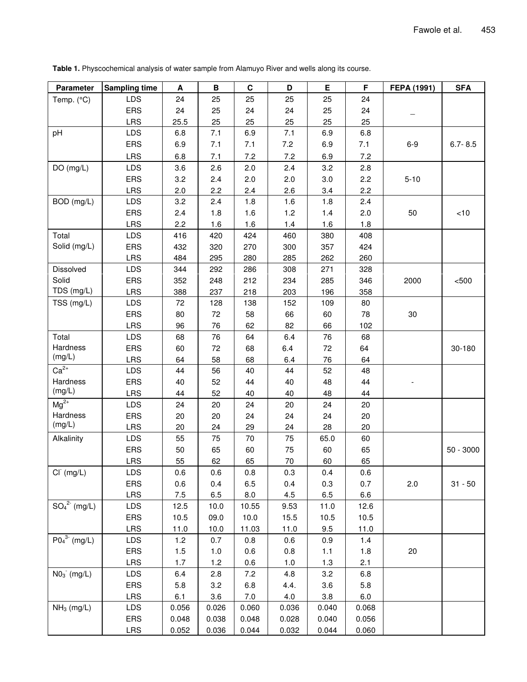| Parameter                  | <b>Sampling time</b> | A     | B     | $\mathbf C$ | D      | Е      | F     | FEPA (1991) | <b>SFA</b>  |
|----------------------------|----------------------|-------|-------|-------------|--------|--------|-------|-------------|-------------|
| Temp. (°C)                 | <b>LDS</b>           | 24    | 25    | 25          | 25     | 25     | 24    |             |             |
|                            | <b>ERS</b>           | 24    | 25    | 24          | 24     | 25     | 24    |             |             |
|                            | <b>LRS</b>           | 25.5  | 25    | 25          | 25     | 25     | 25    |             |             |
| pH                         | <b>LDS</b>           | 6.8   | 7.1   | 6.9         | 7.1    | 6.9    | 6.8   |             |             |
|                            | ERS                  | 6.9   | 7.1   | 7.1         | 7.2    | 6.9    | 7.1   | $6-9$       | $6.7 - 8.5$ |
|                            | LRS                  | 6.8   | 7.1   | 7.2         | 7.2    | 6.9    | 7.2   |             |             |
| DO (mg/L)                  | <b>LDS</b>           | 3.6   | 2.6   | 2.0         | 2.4    | 3.2    | 2.8   |             |             |
|                            | <b>ERS</b>           | 3.2   | 2.4   | 2.0         | 2.0    | 3.0    | 2.2   | $5 - 10$    |             |
|                            | LRS                  | 2.0   | 2.2   | 2.4         | 2.6    | 3.4    | 2.2   |             |             |
| BOD (mg/L)                 | LDS                  | 3.2   | 2.4   | 1.8         | 1.6    | 1.8    | 2.4   |             |             |
|                            | ERS                  | 2.4   | 1.8   | 1.6         | 1.2    | $1.4$  | 2.0   | 50          | $<10$       |
|                            | LRS                  | 2.2   | 1.6   | 1.6         | 1.4    | 1.6    | 1.8   |             |             |
| Total                      | <b>LDS</b>           | 416   | 420   | 424         | 460    | 380    | 408   |             |             |
| Solid (mg/L)               | <b>ERS</b>           | 432   | 320   | 270         | 300    | 357    | 424   |             |             |
|                            | LRS                  | 484   | 295   | 280         | 285    | 262    | 260   |             |             |
| Dissolved                  | LDS                  | 344   | 292   | 286         | 308    | 271    | 328   |             |             |
| Solid                      | ERS                  | 352   | 248   | 212         | 234    | 285    | 346   | 2000        | < 500       |
| TDS (mg/L)                 | LRS                  | 388   | 237   | 218         | 203    | 196    | 358   |             |             |
| TSS (mg/L)                 | <b>LDS</b>           | 72    | 128   | 138         | 152    | 109    | 80    |             |             |
|                            | ERS                  | 80    | 72    | 58          | 66     | 60     | 78    | 30          |             |
|                            | LRS                  | 96    | 76    | 62          | 82     | 66     | 102   |             |             |
| Total                      | LDS                  | 68    | 76    | 64          | 6.4    | 76     | 68    |             |             |
| Hardness                   | <b>ERS</b>           | 60    | 72    | 68          | 6.4    | $72\,$ | 64    |             | 30-180      |
| (mg/L)                     | LRS                  | 64    | 58    | 68          | 6.4    | 76     | 64    |             |             |
| $Ca2+$                     | <b>LDS</b>           | 44    | 56    | 40          | 44     | 52     | 48    |             |             |
| Hardness                   | <b>ERS</b>           | 40    | 52    | 44          | 40     | 48     | 44    |             |             |
| (mg/L)                     | LRS                  | 44    | 52    | 40          | 40     | 48     | 44    |             |             |
| $Mg^{2+}$                  | LDS                  | 24    | 20    | 24          | 20     | 24     | 20    |             |             |
| Hardness                   | <b>ERS</b>           | 20    | 20    | 24          | 24     | 24     | 20    |             |             |
| (mg/L)                     | LRS                  | 20    | 24    | 29          | 24     | 28     | 20    |             |             |
| Alkalinity                 | LDS                  | 55    | 75    | 70          | 75     | 65.0   | 60    |             |             |
|                            | <b>ERS</b>           | 50    | 65    | 60          | 75     | 60     | 65    |             | $50 - 3000$ |
|                            | LRS                  | 55    | 62    | 65          | $70\,$ | 60     | 65    |             |             |
| $Cl^{r}$ (mg/L)            | LDS                  | 0.6   | 0.6   | 0.8         | 0.3    | 0.4    | 0.6   |             |             |
|                            | <b>ERS</b>           | 0.6   | 0.4   | 6.5         | 0.4    | 0.3    | 0.7   | 2.0         | $31 - 50$   |
|                            | <b>LRS</b>           | 7.5   | 6.5   | 8.0         | 4.5    | 6.5    | 6.6   |             |             |
| $SO_4^2$ (mg/L)            | <b>LDS</b>           | 12.5  | 10.0  | 10.55       | 9.53   | 11.0   | 12.6  |             |             |
|                            | ERS                  | 10.5  | 09.0  | 10.0        | 15.5   | 10.5   | 10.5  |             |             |
|                            | LRS                  | 11.0  | 10.0  | 11.03       | 11.0   | 9.5    | 11.0  |             |             |
| $\overline{P0_4}^3$ (mg/L) | LDS                  | 1.2   | 0.7   | 0.8         | 0.6    | 0.9    | 1.4   |             |             |
|                            | ERS                  | 1.5   | 1.0   | 0.6         | 0.8    | 1.1    | 1.8   | $20\,$      |             |
|                            | <b>LRS</b>           | 1.7   | 1.2   | 0.6         | 1.0    | 1.3    | 2.1   |             |             |
| $N0_3$ (mg/L)              | LDS                  | 6.4   | 2.8   | 7.2         | 4.8    | 3.2    | 6.8   |             |             |
|                            | ERS                  | 5.8   | 3.2   | 6.8         | 4.4.   | 3.6    | 5.8   |             |             |
|                            | LRS                  | 6.1   | 3.6   | $7.0$       | 4.0    | 3.8    | 6.0   |             |             |
| $NH3$ (mg/L)               | LDS                  | 0.056 | 0.026 | 0.060       | 0.036  | 0.040  | 0.068 |             |             |
|                            | ERS                  | 0.048 | 0.038 | 0.048       | 0.028  | 0.040  | 0.056 |             |             |
|                            | LRS                  | 0.052 | 0.036 | 0.044       | 0.032  | 0.044  | 0.060 |             |             |

**Table 1.** Physcochemical analysis of water sample from Alamuyo River and wells along its course.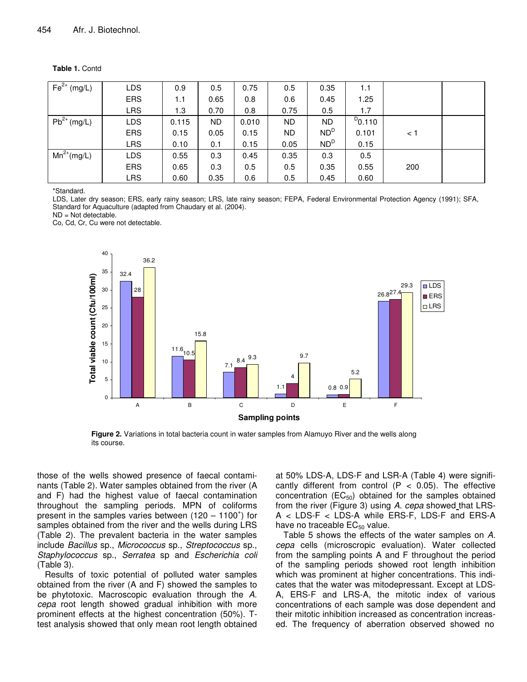**Table 1.** Contd

| $Fe2+ (mg/L)$    | LDS        | 0.9   | 0.5  | 0.75  | 0.5  | 0.35            | 1.1         |     |  |
|------------------|------------|-------|------|-------|------|-----------------|-------------|-----|--|
|                  | <b>ERS</b> | 1.1   | 0.65 | 0.8   | 0.6  | 0.45            | 1.25        |     |  |
|                  | <b>LRS</b> | 1.3   | 0.70 | 0.8   | 0.75 | 0.5             | 1.7         |     |  |
| $Pb^{2+}$ (mg/L) | LDS        | 0.115 | ND.  | 0.010 | ND.  | ND.             | $D_{0.110}$ |     |  |
|                  | <b>ERS</b> | 0.15  | 0.05 | 0.15  | ND.  | ND <sup>D</sup> | 0.101       | < 1 |  |
|                  | <b>LRS</b> | 0.10  | 0.1  | 0.15  | 0.05 | ND <sup>D</sup> | 0.15        |     |  |
| $Mn^{2+}(mg/L)$  | LDS        | 0.55  | 0.3  | 0.45  | 0.35 | 0.3             | 0.5         |     |  |
|                  | <b>ERS</b> | 0.65  | 0.3  | 0.5   | 0.5  | 0.35            | 0.55        | 200 |  |
|                  | LRS        | 0.60  | 0.35 | 0.6   | 0.5  | 0.45            | 0.60        |     |  |

\*Standard.

LDS, Later dry season; ERS, early rainy season; LRS, late rainy season; FEPA, Federal Environmental Protection Agency (1991); SFA, Standard for Aquaculture (adapted from Chaudary et al. (2004).

ND = Not detectable.

Co, Cd, Cr, Cu were not detectable.



**Figure 2.** Variations in total bacteria count in water samples from Alamuyo River and the wells along its course.

those of the wells showed presence of faecal contaminants (Table 2). Water samples obtained from the river (A and F) had the highest value of faecal contamination throughout the sampling periods. MPN of coliforms present in the samples varies between (120 - 1100<sup>+</sup>) for samples obtained from the river and the wells during LRS (Table 2). The prevalent bacteria in the water samples include *Bacillus* sp., *Micrococcus* sp., *Streptococcus* sp., *Staphylococcus* sp., *Serratea* sp and *Escherichia coli* (Table 3).

Results of toxic potential of polluted water samples obtained from the river (A and F) showed the samples to be phytotoxic. Macroscopic evaluation through the *A. cepa* root length showed gradual inhibition with more prominent effects at the highest concentration (50%). Ttest analysis showed that only mean root length obtained

at 50% LDS-A, LDS-F and LSR-A (Table 4) were significantly different from control  $(P < 0.05)$ . The effective concentration  $(EC_{50})$  obtained for the samples obtained from the river (Figure 3) using *A. cepa* showed that LRS-A < LDS-F < LDS-A while ERS-F, LDS-F and ERS-A have no traceable  $EC_{50}$  value.

Table 5 shows the effects of the water samples on *A. cepa* cells (microscropic evaluation). Water collected from the sampling points A and F throughout the period of the sampling periods showed root length inhibition which was prominent at higher concentrations. This indicates that the water was mitodepressant. Except at LDS-A, ERS-F and LRS-A, the mitotic index of various concentrations of each sample was dose dependent and their mitotic inhibition increased as concentration increased. The frequency of aberration observed showed no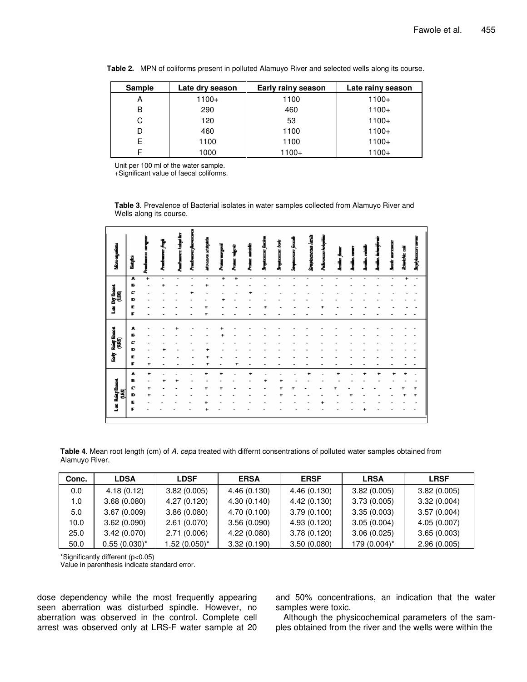| <b>Sample</b> | Late dry season | Early rainy season | Late rainy season |
|---------------|-----------------|--------------------|-------------------|
| А             | $1100+$         | 1100               | $1100+$           |
| в             | 290             | 460                | $1100+$           |
| С             | 120             | 53                 | $1100+$           |
|               | 460             | 1100               | $1100+$           |
| Е             | 1100            | 1100               | $1100+$           |
|               | 1000            | $1100+$            | $1100+$           |

**Table 2.** MPN of coliforms present in polluted Alamuyo River and selected wells along its course.

Unit per 100 ml of the water sample.

+Significant value of faecal coliforms.

**Table 3**. Prevalence of Bacterial isolates in water samples collected from Alamuyo River and Wells along its course.

| معتقدرون درجكا                    | İ                          | Die Berger<br>1<br>Ł | ł<br>Į                   | Ŀ<br>mara habiyot<br>c | p<br>阁<br>Į | Maxaa araayin            | الموسوس مستودا | Product respects | Protes, ministratio | tanan fasir<br>d | September desir | i<br>I<br>ā | Supplemental familie | Pulawana kata | darddin y Chan | Bertillur, carer | Resident, politica | ₽<br>Ì | Seattle agreement | The second contract of | Supplements |
|-----------------------------------|----------------------------|----------------------|--------------------------|------------------------|-------------|--------------------------|----------------|------------------|---------------------|------------------|-----------------|-------------|----------------------|---------------|----------------|------------------|--------------------|--------|-------------------|------------------------|-------------|
|                                   | А                          | Ŧ                    | $\overline{\phantom{a}}$ | $\blacksquare$         | -           | $\overline{\phantom{a}}$ | ÷              | Ŧ                |                     | $\overline{a}$   | $\blacksquare$  | ٠           |                      | ٠             | ٠              | -                |                    |        |                   | ۰                      |             |
|                                   | в                          |                      |                          |                        |             |                          |                |                  |                     |                  |                 |             |                      |               |                |                  |                    |        |                   |                        |             |
|                                   | c                          |                      |                          |                        |             |                          |                |                  |                     |                  |                 |             |                      |               |                |                  |                    |        |                   |                        |             |
|                                   | D                          |                      |                          |                        |             |                          |                |                  |                     |                  |                 |             |                      |               |                |                  |                    |        |                   |                        |             |
|                                   | E                          |                      |                          |                        |             |                          |                |                  |                     |                  |                 |             |                      |               |                |                  |                    |        |                   |                        |             |
| Las Dy Santa<br>  (LDS)<br>  CDS) | Б                          |                      |                          |                        |             |                          |                |                  |                     |                  |                 |             |                      |               |                |                  |                    |        |                   |                        |             |
|                                   |                            |                      |                          |                        |             |                          |                |                  |                     |                  |                 |             |                      |               |                |                  |                    |        |                   |                        |             |
| Ridge Resort<br>(RIRE)<br>Ĵ       | ۸<br>в<br>C<br>D<br>E<br>Е | ۰                    |                          |                        |             |                          |                |                  |                     |                  |                 |             |                      |               |                |                  |                    |        |                   |                        |             |
|                                   | ٨                          | ۰                    |                          |                        |             |                          |                |                  |                     |                  |                 |             |                      |               |                |                  |                    |        |                   |                        | ٠           |
|                                   | в                          |                      |                          |                        |             |                          |                |                  |                     |                  |                 |             |                      |               |                |                  |                    |        |                   |                        |             |
|                                   | C                          | ۰                    |                          |                        |             |                          |                |                  |                     |                  |                 |             |                      |               |                |                  |                    |        |                   |                        |             |
| g                                 | D                          | ۰                    |                          |                        |             |                          |                |                  |                     |                  |                 |             |                      |               |                |                  |                    |        |                   |                        | ۰           |
|                                   | E                          |                      |                          |                        |             |                          |                |                  |                     |                  |                 |             |                      |               |                |                  |                    |        |                   |                        |             |
| Las Reig Secon                    | F                          |                      |                          |                        |             |                          |                |                  |                     |                  |                 |             |                      |               |                |                  |                    |        |                   |                        |             |
|                                   |                            |                      |                          |                        |             |                          |                |                  |                     |                  |                 |             |                      |               |                |                  |                    |        |                   |                        |             |

**Table 4**. Mean root length (cm) of *A. cepa* treated with differnt consentrations of polluted water samples obtained from Alamuyo River.

| Conc. | <b>LDSA</b>       | <b>LDSF</b>       | <b>ERSA</b>  | <b>ERSF</b>  | <b>LRSA</b>  | <b>LRSF</b> |
|-------|-------------------|-------------------|--------------|--------------|--------------|-------------|
| 0.0   | 4.18(0.12)        | 3.82(0.005)       | 4.46 (0.130) | 4.46 (0.130) | 3.82(0.005)  | 3.82(0.005) |
| 1.0   | 3.68(0.080)       | 4.27(0.120)       | 4.30(0.140)  | 4.42(0.130)  | 3.73(0.005)  | 3.32(0.004) |
| 5.0   | 3.67(0.009)       | 3.86(0.080)       | 4.70 (0.100) | 3.79(0.100)  | 3.35(0.003)  | 3.57(0.004) |
| 10.0  | 3.62(0.090)       | 2.61(0.070)       | 3.56(0.090)  | 4.93 (0.120) | 3.05(0.004)  | 4.05(0.007) |
| 25.0  | 3.42(0.070)       | 2.71(0.006)       | 4.22(0.080)  | 3.78(0.120)  | 3.06(0.025)  | 3.65(0.003) |
| 50.0  | $0.55(0.030)^{*}$ | $1.52(0.050)^{*}$ | 3.32(0.190)  | 3.50(0.080)  | 179 (0.004)* | 2.96(0.005) |

\*Significantly different (p<0.05)

Value in parenthesis indicate standard error.

dose dependency while the most frequently appearing seen aberration was disturbed spindle. However, no aberration was observed in the control. Complete cell arrest was observed only at LRS-F water sample at 20 and 50% concentrations, an indication that the water samples were toxic.

Although the physicochemical parameters of the samples obtained from the river and the wells were within the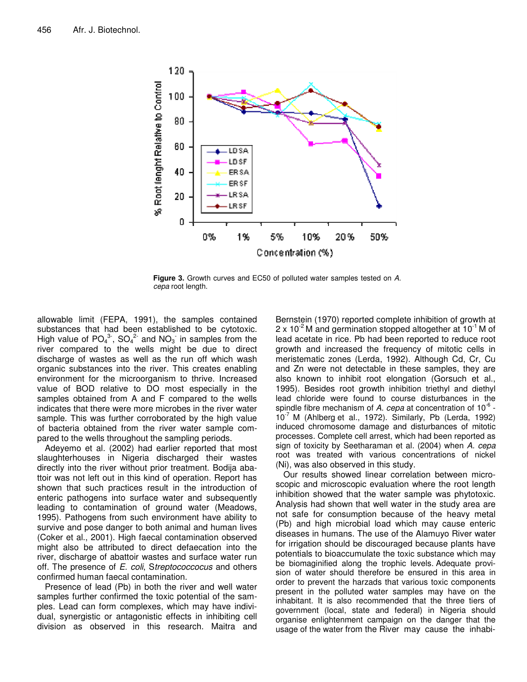

**Figure 3.** Growth curves and EC50 of polluted water samples tested on *A. cepa* root length.

allowable limit (FEPA, 1991), the samples contained substances that had been established to be cytotoxic. High value of  $PO_4^3$ ,  $SO_4^2$  and  $NO_3$  in samples from the river compared to the wells might be due to direct discharge of wastes as well as the run off which wash organic substances into the river. This creates enabling environment for the microorganism to thrive. Increased value of BOD relative to DO most especially in the samples obtained from A and F compared to the wells indicates that there were more microbes in the river water sample. This was further corroborated by the high value of bacteria obtained from the river water sample compared to the wells throughout the sampling periods.

Adeyemo et al*.* (2002) had earlier reported that most slaughterhouses in Nigeria discharged their wastes directly into the river without prior treatment. Bodija abattoir was not left out in this kind of operation. Report has shown that such practices result in the introduction of enteric pathogens into surface water and subsequently leading to contamination of ground water (Meadows, 1995). Pathogens from such environment have ability to survive and pose danger to both animal and human lives (Coker et al., 2001). High faecal contamination observed might also be attributed to direct defaecation into the river, discharge of abattoir wastes and surface water run off. The presence of *E. coli*, S*treptococcocus* and others confirmed human faecal contamination.

Presence of lead (Pb) in both the river and well water samples further confirmed the toxic potential of the samples. Lead can form complexes, which may have individual, synergistic or antagonistic effects in inhibiting cell division as observed in this research. Maitra and Bernstein (1970) reported complete inhibition of growth at 2 x 10<sup>-2</sup> M and germination stopped altogether at 10<sup>-1</sup> M of lead acetate in rice. Pb had been reported to reduce root growth and increased the frequency of mitotic cells in meristematic zones (Lerda, 1992). Although Cd, Cr, Cu and Zn were not detectable in these samples, they are also known to inhibit root elongation (Gorsuch et al., 1995). Besides root growth inhibition triethyl and diethyl lead chloride were found to course disturbances in the spindle fibre mechanism of A. cepa at concentration of 10<sup>-6</sup> -10 -7 M (Ahlberg et al., 1972). Similarly, Pb (Lerda, 1992) induced chromosome damage and disturbances of mitotic processes. Complete cell arrest, which had been reported as sign of toxicity by Seetharaman et al. (2004) when *A. cepa* root was treated with various concentrations of nickel (Ni), was also observed in this study.

Our results showed linear correlation between microscopic and microscopic evaluation where the root length inhibition showed that the water sample was phytotoxic. Analysis had shown that well water in the study area are not safe for consumption because of the heavy metal (Pb) and high microbial load which may cause enteric diseases in humans. The use of the Alamuyo River water for irrigation should be discouraged because plants have potentials to bioaccumulate the toxic substance which may be biomaginified along the trophic levels. Adequate provision of water should therefore be ensured in this area in order to prevent the harzads that various toxic components present in the polluted water samples may have on the inhabitant. It is also recommended that the three tiers of government (local, state and federal) in Nigeria should organise enlightenment campaign on the danger that the usage of the water from the River may cause the inhabi-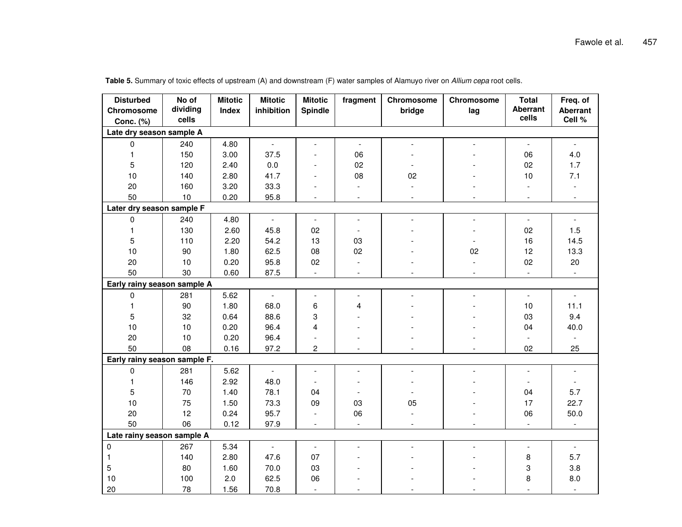| <b>Disturbed</b>             | No of    | <b>Mitotic</b> | <b>Mitotic</b>      | <b>Mitotic</b>           | fragment                 | Chromosome | Chromosome               | <b>Total</b>                | Freq. of                    |
|------------------------------|----------|----------------|---------------------|--------------------------|--------------------------|------------|--------------------------|-----------------------------|-----------------------------|
| Chromosome                   | dividing | <b>Index</b>   | inhibition          | <b>Spindle</b>           |                          | bridge     | lag                      | <b>Aberrant</b>             | <b>Aberrant</b>             |
| Conc. (%)                    | cells    |                |                     |                          |                          |            |                          | cells                       | Cell %                      |
| Late dry season sample A     |          |                |                     |                          |                          |            |                          |                             |                             |
| 0                            | 240      | 4.80           | $\blacksquare$      | $\blacksquare$           | $\overline{\phantom{a}}$ |            |                          | $\blacksquare$              | $\sim$                      |
| $\mathbf{1}$                 | 150      | 3.00           | 37.5                | $\overline{\phantom{a}}$ | 06                       |            |                          | 06                          | 4.0                         |
| 5                            | 120      | 2.40           | 0.0                 |                          | 02                       |            |                          | 02                          | 1.7                         |
| 10                           | 140      | 2.80           | 41.7                |                          | 08                       | 02         |                          | 10                          | 7.1                         |
| 20                           | 160      | 3.20           | 33.3                |                          |                          |            |                          |                             |                             |
| 50                           | 10       | 0.20           | 95.8                | $\overline{\phantom{a}}$ | $\sim$                   |            |                          | $\sim$                      | $\overline{\phantom{a}}$    |
| Later dry season sample F    |          |                |                     |                          |                          |            |                          |                             |                             |
| 0                            | 240      | 4.80           | $\omega$            | $\overline{\phantom{a}}$ |                          |            |                          | $\overline{\phantom{a}}$    | $\mathbf{r}$                |
| 1.                           | 130      | 2.60           | 45.8                | 02                       | $\blacksquare$           |            |                          | 02                          | 1.5                         |
| 5                            | 110      | 2.20           | 54.2                | 13                       | 03                       |            |                          | 16                          | 14.5                        |
| 10                           | 90       | 1.80           | 62.5                | 08                       | 02                       |            | 02                       | 12                          | 13.3                        |
| 20                           | 10       | 0.20           | 95.8                | 02                       | $\overline{\phantom{a}}$ |            | $\overline{\phantom{a}}$ | 02                          | 20                          |
| 50                           | 30       | 0.60           | 87.5                | $\mathbb{Z}^2$           | $\overline{\phantom{a}}$ |            | $\overline{\phantom{a}}$ | $\mathcal{L}_{\mathcal{A}}$ | $\mathcal{L}_{\mathcal{A}}$ |
| Early rainy season sample A  |          |                |                     |                          |                          |            |                          |                             |                             |
| 0                            | 281      | 5.62           | $\mathbb{L}^+$      | $\overline{\phantom{a}}$ | $\overline{a}$           |            | $\overline{a}$           | $\mathbb{Z}^{\mathbb{Z}}$   | $\overline{a}$              |
| $\mathbf{1}$                 | 90       | 1.80           | 68.0                | 6                        | 4                        |            |                          | 10                          | 11.1                        |
| 5                            | 32       | 0.64           | 88.6                | 3                        |                          |            |                          | 03                          | 9.4                         |
| 10                           | 10       | 0.20           | 96.4                | 4                        |                          |            |                          | 04                          | 40.0                        |
| 20                           | 10       | 0.20           | 96.4                |                          |                          |            |                          |                             |                             |
| 50                           | 08       | 0.16           | 97.2                | $\overline{c}$           | $\blacksquare$           |            |                          | 02                          | 25                          |
| Early rainy season sample F. |          |                |                     |                          |                          |            |                          |                             |                             |
| $\pmb{0}$                    | 281      | 5.62           | $\blacksquare$      | $\overline{\phantom{a}}$ | $\blacksquare$           |            |                          | $\overline{\phantom{a}}$    |                             |
| $\mathbf{1}$                 | 146      | 2.92           | 48.0                | $\blacksquare$           | $\overline{a}$           |            |                          | $\overline{a}$              |                             |
| 5                            | 70       | 1.40           | 78.1                | 04                       |                          |            |                          | 04                          | 5.7                         |
| 10                           | 75       | 1.50           | 73.3                | 09                       | 03                       | 05         |                          | 17                          | 22.7                        |
| 20                           | 12       | 0.24           | 95.7                | $\overline{\phantom{a}}$ | 06                       |            |                          | 06                          | 50.0                        |
| 50                           | 06       | 0.12           | 97.9                | $\overline{a}$           | $\overline{a}$           |            |                          | $\overline{a}$              |                             |
| Late rainy season sample A   |          |                |                     |                          |                          |            |                          |                             |                             |
| $\pmb{0}$                    | 267      | 5.34           | $\bar{\phantom{a}}$ | $\blacksquare$           | $\overline{\phantom{a}}$ |            |                          | $\blacksquare$              | $\mathcal{L}$               |
| 1                            | 140      | 2.80           | 47.6                | 07                       |                          |            |                          | 8                           | 5.7                         |
| 5                            | 80       | 1.60           | 70.0                | 03                       |                          |            |                          | 3                           | 3.8                         |
| 10                           | 100      | 2.0            | 62.5                | 06                       |                          |            |                          | 8                           | 8.0                         |
| 20                           | 78       | 1.56           | 70.8                | $\overline{\phantom{a}}$ |                          |            |                          |                             | $\overline{\phantom{a}}$    |

**Table 5.** Summary of toxic effects of upstream (A) and downstream (F) water samples of Alamuyo river on *Allium cepa* root cells.